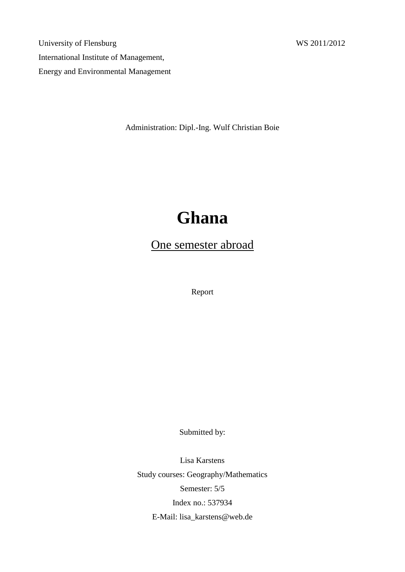University of Flensburg WS 2011/2012 International Institute of Management, Energy and Environmental Management

Administration: Dipl.-Ing. Wulf Christian Boie

# **Ghana**

# One semester abroad

Report

Submitted by:

Lisa Karstens Study courses: Geography/Mathematics Semester: 5/5 Index no.: 537934 E-Mail: lisa\_karstens@web.de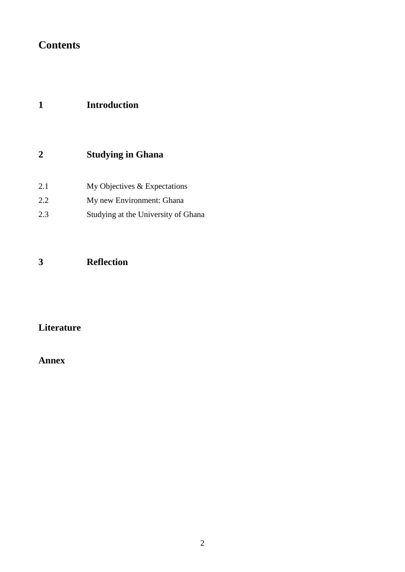# **Contents**

## **1 Introduction**

## **2 Studying in Ghana**

| 2.1 | My Objectives $&$ Expectations |  |
|-----|--------------------------------|--|
|-----|--------------------------------|--|

- 2.2 My new Environment: Ghana
- 2.3 Studying at the University of Ghana

## **3 Reflection**

### **Literature**

### **Annex**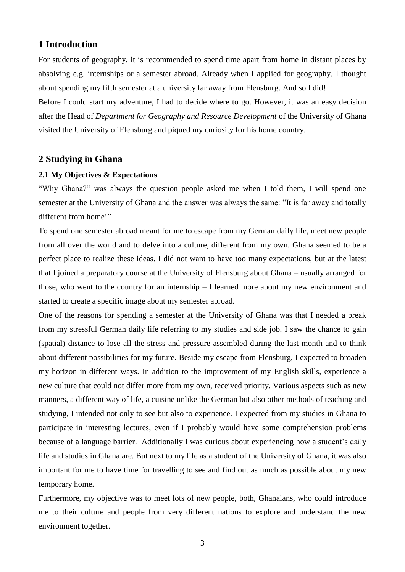#### **1 Introduction**

For students of geography, it is recommended to spend time apart from home in distant places by absolving e.g. internships or a semester abroad. Already when I applied for geography, I thought about spending my fifth semester at a university far away from Flensburg. And so I did!

Before I could start my adventure, I had to decide where to go. However, it was an easy decision after the Head of *Department for Geography and Resource Development* of the University of Ghana visited the University of Flensburg and piqued my curiosity for his home country.

#### **2 Studying in Ghana**

#### **2.1 My Objectives & Expectations**

"Why Ghana?" was always the question people asked me when I told them, I will spend one semester at the University of Ghana and the answer was always the same: "It is far away and totally different from home!"

To spend one semester abroad meant for me to escape from my German daily life, meet new people from all over the world and to delve into a culture, different from my own. Ghana seemed to be a perfect place to realize these ideas. I did not want to have too many expectations, but at the latest that I joined a preparatory course at the University of Flensburg about Ghana – usually arranged for those, who went to the country for an internship – I learned more about my new environment and started to create a specific image about my semester abroad.

One of the reasons for spending a semester at the University of Ghana was that I needed a break from my stressful German daily life referring to my studies and side job. I saw the chance to gain (spatial) distance to lose all the stress and pressure assembled during the last month and to think about different possibilities for my future. Beside my escape from Flensburg, I expected to broaden my horizon in different ways. In addition to the improvement of my English skills, experience a new culture that could not differ more from my own, received priority. Various aspects such as new manners, a different way of life, a cuisine unlike the German but also other methods of teaching and studying, I intended not only to see but also to experience. I expected from my studies in Ghana to participate in interesting lectures, even if I probably would have some comprehension problems because of a language barrier. Additionally I was curious about experiencing how a student's daily life and studies in Ghana are. But next to my life as a student of the University of Ghana, it was also important for me to have time for travelling to see and find out as much as possible about my new temporary home.

Furthermore, my objective was to meet lots of new people, both, Ghanaians, who could introduce me to their culture and people from very different nations to explore and understand the new environment together.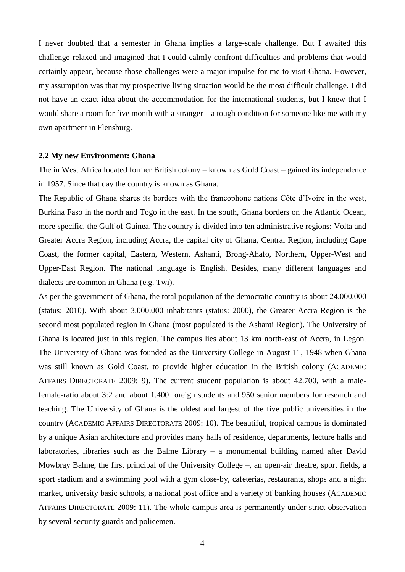I never doubted that a semester in Ghana implies a large-scale challenge. But I awaited this challenge relaxed and imagined that I could calmly confront difficulties and problems that would certainly appear, because those challenges were a major impulse for me to visit Ghana. However, my assumption was that my prospective living situation would be the most difficult challenge. I did not have an exact idea about the accommodation for the international students, but I knew that I would share a room for five month with a stranger – a tough condition for someone like me with my own apartment in Flensburg.

#### **2.2 My new Environment: Ghana**

The in West Africa located former British colony – known as Gold Coast – gained its independence in 1957. Since that day the country is known as Ghana.

The Republic of Ghana shares its borders with the francophone nations Côte d'Ivoire in the west, Burkina Faso in the north and Togo in the east. In the south, Ghana borders on the Atlantic Ocean, more specific, the Gulf of Guinea. The country is divided into ten administrative regions: Volta and Greater Accra Region, including Accra, the capital city of Ghana, Central Region, including Cape Coast, the former capital, Eastern, Western, Ashanti, Brong-Ahafo, Northern, Upper-West and Upper-East Region. The national language is English. Besides, many different languages and dialects are common in Ghana (e.g. Twi).

As per the government of Ghana, the total population of the democratic country is about 24.000.000 (status: 2010). With about 3.000.000 inhabitants (status: 2000), the Greater Accra Region is the second most populated region in Ghana (most populated is the Ashanti Region). The University of Ghana is located just in this region. The campus lies about 13 km north-east of Accra, in Legon. The University of Ghana was founded as the University College in August 11, 1948 when Ghana was still known as Gold Coast, to provide higher education in the British colony (ACADEMIC AFFAIRS DIRECTORATE 2009: 9). The current student population is about 42.700, with a malefemale-ratio about 3:2 and about 1.400 foreign students and 950 senior members for research and teaching. The University of Ghana is the oldest and largest of the five public universities in the country (ACADEMIC AFFAIRS DIRECTORATE 2009: 10). The beautiful, tropical campus is dominated by a unique Asian architecture and provides many halls of residence, departments, lecture halls and laboratories, libraries such as the Balme Library – a monumental building named after David Mowbray Balme, the first principal of the University College –, an open-air theatre, sport fields, a sport stadium and a swimming pool with a gym close-by, cafeterias, restaurants, shops and a night market, university basic schools, a national post office and a variety of banking houses (ACADEMIC AFFAIRS DIRECTORATE 2009: 11). The whole campus area is permanently under strict observation by several security guards and policemen.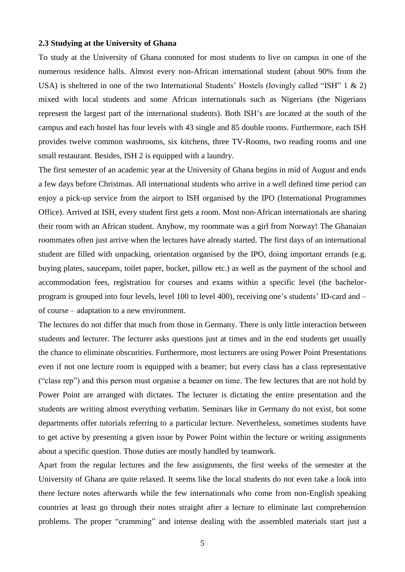#### **2.3 Studying at the University of Ghana**

To study at the University of Ghana connoted for most students to live on campus in one of the numerous residence halls. Almost every non-African international student (about 90% from the USA) is sheltered in one of the two International Students' Hostels (lovingly called "ISH" 1 & 2) mixed with local students and some African internationals such as Nigerians (the Nigerians represent the largest part of the international students). Both ISH's are located at the south of the campus and each hostel has four levels with 43 single and 85 double rooms. Furthermore, each ISH provides twelve common washrooms, six kitchens, three TV-Rooms, two reading rooms and one small restaurant. Besides, ISH 2 is equipped with a laundry.

The first semester of an academic year at the University of Ghana begins in mid of August and ends a few days before Christmas. All international students who arrive in a well defined time period can enjoy a pick-up service from the airport to ISH organised by the IPO (International Programmes Office). Arrived at ISH, every student first gets a room. Most non-African internationals are sharing their room with an African student. Anyhow, my roommate was a girl from Norway! The Ghanaian roommates often just arrive when the lectures have already started. The first days of an international student are filled with unpacking, orientation organised by the IPO, doing important errands (e.g. buying plates, saucepans, toilet paper, bucket, pillow etc.) as well as the payment of the school and accommodation fees, registration for courses and exams within a specific level (the bachelorprogram is grouped into four levels, level 100 to level 400), receiving one's students' ID-card and – of course – adaptation to a new environment.

The lectures do not differ that much from those in Germany. There is only little interaction between students and lecturer. The lecturer asks questions just at times and in the end students get usually the chance to eliminate obscurities. Furthermore, most lecturers are using Power Point Presentations even if not one lecture room is equipped with a beamer; but every class has a class representative ("class rep") and this person must organise a beamer on time. The few lectures that are not hold by Power Point are arranged with dictates. The lecturer is dictating the entire presentation and the students are writing almost everything verbatim. Seminars like in Germany do not exist, but some departments offer tutorials referring to a particular lecture. Nevertheless, sometimes students have to get active by presenting a given issue by Power Point within the lecture or writing assignments about a specific question. Those duties are mostly handled by teamwork.

Apart from the regular lectures and the few assignments, the first weeks of the semester at the University of Ghana are quite relaxed. It seems like the local students do not even take a look into there lecture notes afterwards while the few internationals who come from non-English speaking countries at least go through their notes straight after a lecture to eliminate last comprehension problems. The proper "cramming" and intense dealing with the assembled materials start just a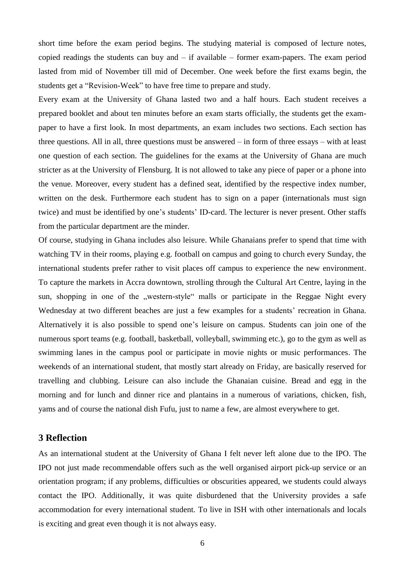short time before the exam period begins. The studying material is composed of lecture notes, copied readings the students can buy and – if available – former exam-papers. The exam period lasted from mid of November till mid of December. One week before the first exams begin, the students get a "Revision-Week" to have free time to prepare and study.

Every exam at the University of Ghana lasted two and a half hours. Each student receives a prepared booklet and about ten minutes before an exam starts officially, the students get the exampaper to have a first look. In most departments, an exam includes two sections. Each section has three questions. All in all, three questions must be answered – in form of three essays – with at least one question of each section. The guidelines for the exams at the University of Ghana are much stricter as at the University of Flensburg. It is not allowed to take any piece of paper or a phone into the venue. Moreover, every student has a defined seat, identified by the respective index number, written on the desk. Furthermore each student has to sign on a paper (internationals must sign twice) and must be identified by one's students' ID-card. The lecturer is never present. Other staffs from the particular department are the minder.

Of course, studying in Ghana includes also leisure. While Ghanaians prefer to spend that time with watching TV in their rooms, playing e.g. football on campus and going to church every Sunday, the international students prefer rather to visit places off campus to experience the new environment. To capture the markets in Accra downtown, strolling through the Cultural Art Centre, laying in the sun, shopping in one of the "western-style" malls or participate in the Reggae Night every Wednesday at two different beaches are just a few examples for a students' recreation in Ghana. Alternatively it is also possible to spend one's leisure on campus. Students can join one of the numerous sport teams (e.g. football, basketball, volleyball, swimming etc.), go to the gym as well as swimming lanes in the campus pool or participate in movie nights or music performances. The weekends of an international student, that mostly start already on Friday, are basically reserved for travelling and clubbing. Leisure can also include the Ghanaian cuisine. Bread and egg in the morning and for lunch and dinner rice and plantains in a numerous of variations, chicken, fish, yams and of course the national dish Fufu, just to name a few, are almost everywhere to get.

#### **3 Reflection**

As an international student at the University of Ghana I felt never left alone due to the IPO. The IPO not just made recommendable offers such as the well organised airport pick-up service or an orientation program; if any problems, difficulties or obscurities appeared, we students could always contact the IPO. Additionally, it was quite disburdened that the University provides a safe accommodation for every international student. To live in ISH with other internationals and locals is exciting and great even though it is not always easy.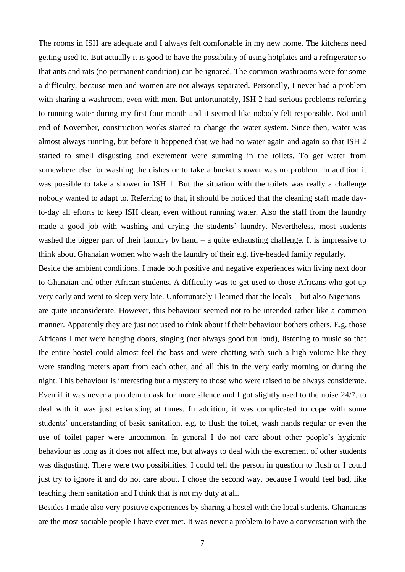The rooms in ISH are adequate and I always felt comfortable in my new home. The kitchens need getting used to. But actually it is good to have the possibility of using hotplates and a refrigerator so that ants and rats (no permanent condition) can be ignored. The common washrooms were for some a difficulty, because men and women are not always separated. Personally, I never had a problem with sharing a washroom, even with men. But unfortunately, ISH 2 had serious problems referring to running water during my first four month and it seemed like nobody felt responsible. Not until end of November, construction works started to change the water system. Since then, water was almost always running, but before it happened that we had no water again and again so that ISH 2 started to smell disgusting and excrement were summing in the toilets. To get water from somewhere else for washing the dishes or to take a bucket shower was no problem. In addition it was possible to take a shower in ISH 1. But the situation with the toilets was really a challenge nobody wanted to adapt to. Referring to that, it should be noticed that the cleaning staff made dayto-day all efforts to keep ISH clean, even without running water. Also the staff from the laundry made a good job with washing and drying the students' laundry. Nevertheless, most students washed the bigger part of their laundry by hand – a quite exhausting challenge. It is impressive to think about Ghanaian women who wash the laundry of their e.g. five-headed family regularly.

Beside the ambient conditions, I made both positive and negative experiences with living next door to Ghanaian and other African students. A difficulty was to get used to those Africans who got up very early and went to sleep very late. Unfortunately I learned that the locals – but also Nigerians – are quite inconsiderate. However, this behaviour seemed not to be intended rather like a common manner. Apparently they are just not used to think about if their behaviour bothers others. E.g. those Africans I met were banging doors, singing (not always good but loud), listening to music so that the entire hostel could almost feel the bass and were chatting with such a high volume like they were standing meters apart from each other, and all this in the very early morning or during the night. This behaviour is interesting but a mystery to those who were raised to be always considerate. Even if it was never a problem to ask for more silence and I got slightly used to the noise 24/7, to deal with it was just exhausting at times. In addition, it was complicated to cope with some students' understanding of basic sanitation, e.g. to flush the toilet, wash hands regular or even the use of toilet paper were uncommon. In general I do not care about other people's hygienic behaviour as long as it does not affect me, but always to deal with the excrement of other students was disgusting. There were two possibilities: I could tell the person in question to flush or I could just try to ignore it and do not care about. I chose the second way, because I would feel bad, like teaching them sanitation and I think that is not my duty at all.

Besides I made also very positive experiences by sharing a hostel with the local students. Ghanaians are the most sociable people I have ever met. It was never a problem to have a conversation with the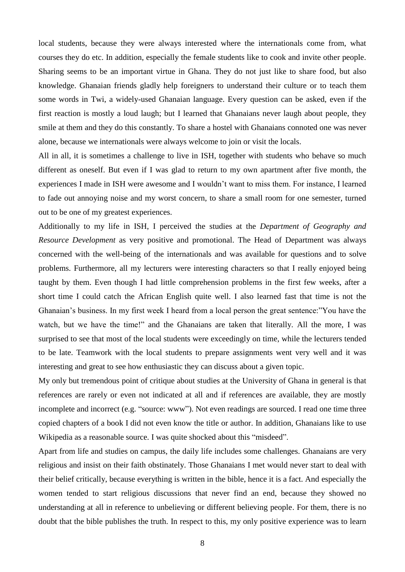local students, because they were always interested where the internationals come from, what courses they do etc. In addition, especially the female students like to cook and invite other people. Sharing seems to be an important virtue in Ghana. They do not just like to share food, but also knowledge. Ghanaian friends gladly help foreigners to understand their culture or to teach them some words in Twi, a widely-used Ghanaian language. Every question can be asked, even if the first reaction is mostly a loud laugh; but I learned that Ghanaians never laugh about people, they smile at them and they do this constantly. To share a hostel with Ghanaians connoted one was never alone, because we internationals were always welcome to join or visit the locals.

All in all, it is sometimes a challenge to live in ISH, together with students who behave so much different as oneself. But even if I was glad to return to my own apartment after five month, the experiences I made in ISH were awesome and I wouldn't want to miss them. For instance, I learned to fade out annoying noise and my worst concern, to share a small room for one semester, turned out to be one of my greatest experiences.

Additionally to my life in ISH, I perceived the studies at the *Department of Geography and Resource Development* as very positive and promotional. The Head of Department was always concerned with the well-being of the internationals and was available for questions and to solve problems. Furthermore, all my lecturers were interesting characters so that I really enjoyed being taught by them. Even though I had little comprehension problems in the first few weeks, after a short time I could catch the African English quite well. I also learned fast that time is not the Ghanaian's business. In my first week I heard from a local person the great sentence:"You have the watch, but we have the time!" and the Ghanaians are taken that literally. All the more, I was surprised to see that most of the local students were exceedingly on time, while the lecturers tended to be late. Teamwork with the local students to prepare assignments went very well and it was interesting and great to see how enthusiastic they can discuss about a given topic.

My only but tremendous point of critique about studies at the University of Ghana in general is that references are rarely or even not indicated at all and if references are available, they are mostly incomplete and incorrect (e.g. "source: www"). Not even readings are sourced. I read one time three copied chapters of a book I did not even know the title or author. In addition, Ghanaians like to use Wikipedia as a reasonable source. I was quite shocked about this "misdeed".

Apart from life and studies on campus, the daily life includes some challenges. Ghanaians are very religious and insist on their faith obstinately. Those Ghanaians I met would never start to deal with their belief critically, because everything is written in the bible, hence it is a fact. And especially the women tended to start religious discussions that never find an end, because they showed no understanding at all in reference to unbelieving or different believing people. For them, there is no doubt that the bible publishes the truth. In respect to this, my only positive experience was to learn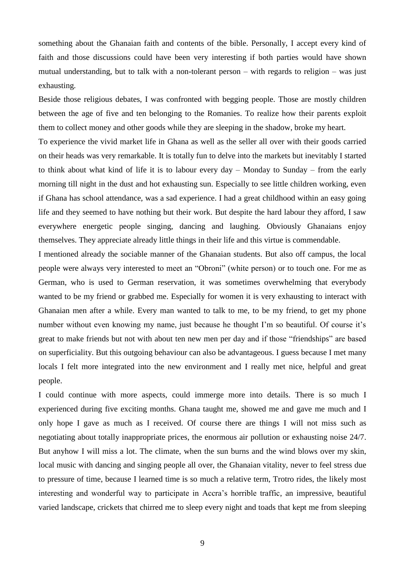something about the Ghanaian faith and contents of the bible. Personally, I accept every kind of faith and those discussions could have been very interesting if both parties would have shown mutual understanding, but to talk with a non-tolerant person – with regards to religion – was just exhausting.

Beside those religious debates, I was confronted with begging people. Those are mostly children between the age of five and ten belonging to the Romanies. To realize how their parents exploit them to collect money and other goods while they are sleeping in the shadow, broke my heart.

To experience the vivid market life in Ghana as well as the seller all over with their goods carried on their heads was very remarkable. It is totally fun to delve into the markets but inevitably I started to think about what kind of life it is to labour every day – Monday to Sunday – from the early morning till night in the dust and hot exhausting sun. Especially to see little children working, even if Ghana has school attendance, was a sad experience. I had a great childhood within an easy going life and they seemed to have nothing but their work. But despite the hard labour they afford, I saw everywhere energetic people singing, dancing and laughing. Obviously Ghanaians enjoy themselves. They appreciate already little things in their life and this virtue is commendable.

I mentioned already the sociable manner of the Ghanaian students. But also off campus, the local people were always very interested to meet an "Obroni" (white person) or to touch one. For me as German, who is used to German reservation, it was sometimes overwhelming that everybody wanted to be my friend or grabbed me. Especially for women it is very exhausting to interact with Ghanaian men after a while. Every man wanted to talk to me, to be my friend, to get my phone number without even knowing my name, just because he thought I'm so beautiful. Of course it's great to make friends but not with about ten new men per day and if those "friendships" are based on superficiality. But this outgoing behaviour can also be advantageous. I guess because I met many locals I felt more integrated into the new environment and I really met nice, helpful and great people.

I could continue with more aspects, could immerge more into details. There is so much I experienced during five exciting months. Ghana taught me, showed me and gave me much and I only hope I gave as much as I received. Of course there are things I will not miss such as negotiating about totally inappropriate prices, the enormous air pollution or exhausting noise 24/7. But anyhow I will miss a lot. The climate, when the sun burns and the wind blows over my skin, local music with dancing and singing people all over, the Ghanaian vitality, never to feel stress due to pressure of time, because I learned time is so much a relative term, Trotro rides, the likely most interesting and wonderful way to participate in Accra's horrible traffic, an impressive, beautiful varied landscape, crickets that chirred me to sleep every night and toads that kept me from sleeping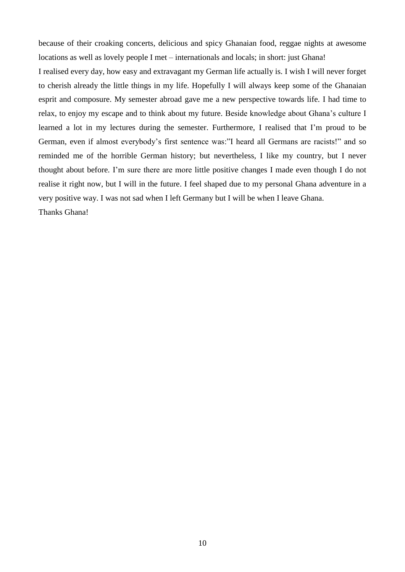because of their croaking concerts, delicious and spicy Ghanaian food, reggae nights at awesome locations as well as lovely people I met – internationals and locals; in short: just Ghana!

I realised every day, how easy and extravagant my German life actually is. I wish I will never forget to cherish already the little things in my life. Hopefully I will always keep some of the Ghanaian esprit and composure. My semester abroad gave me a new perspective towards life. I had time to relax, to enjoy my escape and to think about my future. Beside knowledge about Ghana's culture I learned a lot in my lectures during the semester. Furthermore, I realised that I'm proud to be German, even if almost everybody's first sentence was:"I heard all Germans are racists!" and so reminded me of the horrible German history; but nevertheless, I like my country, but I never thought about before. I'm sure there are more little positive changes I made even though I do not realise it right now, but I will in the future. I feel shaped due to my personal Ghana adventure in a very positive way. I was not sad when I left Germany but I will be when I leave Ghana.

Thanks Ghana!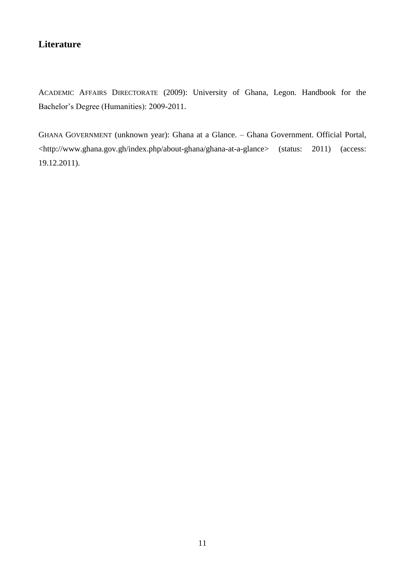### **Literature**

ACADEMIC AFFAIRS DIRECTORATE (2009): University of Ghana, Legon. Handbook for the Bachelor's Degree (Humanities): 2009-2011.

GHANA GOVERNMENT (unknown year): Ghana at a Glance. – Ghana Government. Official Portal, <http://www.ghana.gov.gh/index.php/about-ghana/ghana-at-a-glance> (status: 2011) (access: 19.12.2011).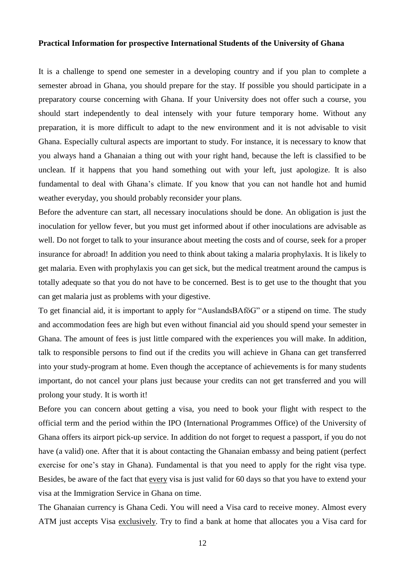#### **Practical Information for prospective International Students of the University of Ghana**

It is a challenge to spend one semester in a developing country and if you plan to complete a semester abroad in Ghana, you should prepare for the stay. If possible you should participate in a preparatory course concerning with Ghana. If your University does not offer such a course, you should start independently to deal intensely with your future temporary home. Without any preparation, it is more difficult to adapt to the new environment and it is not advisable to visit Ghana. Especially cultural aspects are important to study. For instance, it is necessary to know that you always hand a Ghanaian a thing out with your right hand, because the left is classified to be unclean. If it happens that you hand something out with your left, just apologize. It is also fundamental to deal with Ghana's climate. If you know that you can not handle hot and humid weather everyday, you should probably reconsider your plans.

Before the adventure can start, all necessary inoculations should be done. An obligation is just the inoculation for yellow fever, but you must get informed about if other inoculations are advisable as well. Do not forget to talk to your insurance about meeting the costs and of course, seek for a proper insurance for abroad! In addition you need to think about taking a malaria prophylaxis. It is likely to get malaria. Even with prophylaxis you can get sick, but the medical treatment around the campus is totally adequate so that you do not have to be concerned. Best is to get use to the thought that you can get malaria just as problems with your digestive.

To get financial aid, it is important to apply for "AuslandsBAföG" or a stipend on time. The study and accommodation fees are high but even without financial aid you should spend your semester in Ghana. The amount of fees is just little compared with the experiences you will make. In addition, talk to responsible persons to find out if the credits you will achieve in Ghana can get transferred into your study-program at home. Even though the acceptance of achievements is for many students important, do not cancel your plans just because your credits can not get transferred and you will prolong your study. It is worth it!

Before you can concern about getting a visa, you need to book your flight with respect to the official term and the period within the IPO (International Programmes Office) of the University of Ghana offers its airport pick-up service. In addition do not forget to request a passport, if you do not have (a valid) one. After that it is about contacting the Ghanaian embassy and being patient (perfect exercise for one's stay in Ghana). Fundamental is that you need to apply for the right visa type. Besides, be aware of the fact that every visa is just valid for 60 days so that you have to extend your visa at the Immigration Service in Ghana on time.

The Ghanaian currency is Ghana Cedi. You will need a Visa card to receive money. Almost every ATM just accepts Visa exclusively. Try to find a bank at home that allocates you a Visa card for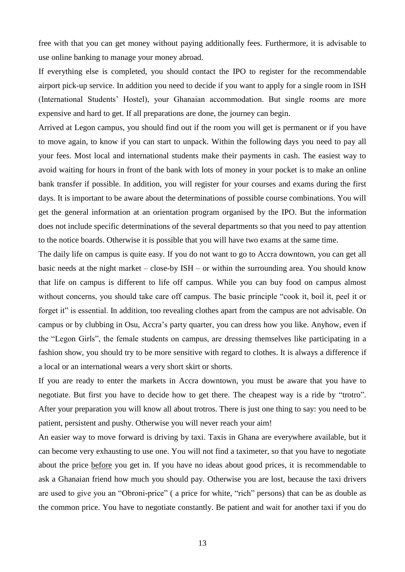free with that you can get money without paying additionally fees. Furthermore, it is advisable to use online banking to manage your money abroad.

If everything else is completed, you should contact the IPO to register for the recommendable airport pick-up service. In addition you need to decide if you want to apply for a single room in ISH (International Students' Hostel), your Ghanaian accommodation. But single rooms are more expensive and hard to get. If all preparations are done, the journey can begin.

Arrived at Legon campus, you should find out if the room you will get is permanent or if you have to move again, to know if you can start to unpack. Within the following days you need to pay all your fees. Most local and international students make their payments in cash. The easiest way to avoid waiting for hours in front of the bank with lots of money in your pocket is to make an online bank transfer if possible. In addition, you will register for your courses and exams during the first days. It is important to be aware about the determinations of possible course combinations. You will get the general information at an orientation program organised by the IPO. But the information does not include specific determinations of the several departments so that you need to pay attention to the notice boards. Otherwise it is possible that you will have two exams at the same time.

The daily life on campus is quite easy. If you do not want to go to Accra downtown, you can get all basic needs at the night market – close-by ISH – or within the surrounding area. You should know that life on campus is different to life off campus. While you can buy food on campus almost without concerns, you should take care off campus. The basic principle "cook it, boil it, peel it or forget it" is essential. In addition, too revealing clothes apart from the campus are not advisable. On campus or by clubbing in Osu, Accra's party quarter, you can dress how you like. Anyhow, even if the "Legon Girls", the female students on campus, are dressing themselves like participating in a fashion show, you should try to be more sensitive with regard to clothes. It is always a difference if a local or an international wears a very short skirt or shorts.

If you are ready to enter the markets in Accra downtown, you must be aware that you have to negotiate. But first you have to decide how to get there. The cheapest way is a ride by "trotro". After your preparation you will know all about trotros. There is just one thing to say: you need to be patient, persistent and pushy. Otherwise you will never reach your aim!

An easier way to move forward is driving by taxi. Taxis in Ghana are everywhere available, but it can become very exhausting to use one. You will not find a taximeter, so that you have to negotiate about the price before you get in. If you have no ideas about good prices, it is recommendable to ask a Ghanaian friend how much you should pay. Otherwise you are lost, because the taxi drivers are used to give you an "Obroni-price" ( a price for white, "rich" persons) that can be as double as the common price. You have to negotiate constantly. Be patient and wait for another taxi if you do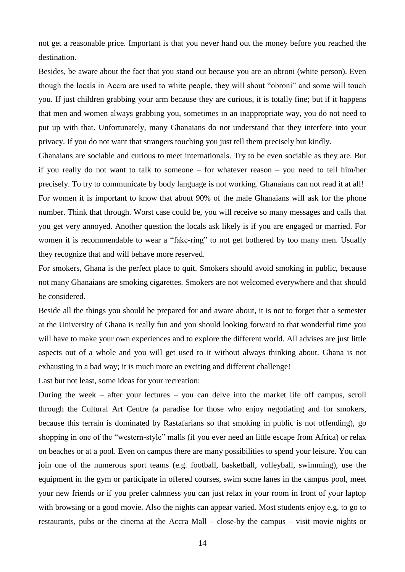not get a reasonable price. Important is that you never hand out the money before you reached the destination.

Besides, be aware about the fact that you stand out because you are an obroni (white person). Even though the locals in Accra are used to white people, they will shout "obroni" and some will touch you. If just children grabbing your arm because they are curious, it is totally fine; but if it happens that men and women always grabbing you, sometimes in an inappropriate way, you do not need to put up with that. Unfortunately, many Ghanaians do not understand that they interfere into your privacy. If you do not want that strangers touching you just tell them precisely but kindly.

Ghanaians are sociable and curious to meet internationals. Try to be even sociable as they are. But if you really do not want to talk to someone – for whatever reason – you need to tell him/her precisely. To try to communicate by body language is not working. Ghanaians can not read it at all! For women it is important to know that about 90% of the male Ghanaians will ask for the phone number. Think that through. Worst case could be, you will receive so many messages and calls that you get very annoyed. Another question the locals ask likely is if you are engaged or married. For women it is recommendable to wear a "fake-ring" to not get bothered by too many men. Usually they recognize that and will behave more reserved.

For smokers, Ghana is the perfect place to quit. Smokers should avoid smoking in public, because not many Ghanaians are smoking cigarettes. Smokers are not welcomed everywhere and that should be considered.

Beside all the things you should be prepared for and aware about, it is not to forget that a semester at the University of Ghana is really fun and you should looking forward to that wonderful time you will have to make your own experiences and to explore the different world. All advises are just little aspects out of a whole and you will get used to it without always thinking about. Ghana is not exhausting in a bad way; it is much more an exciting and different challenge!

Last but not least, some ideas for your recreation:

During the week – after your lectures – you can delve into the market life off campus, scroll through the Cultural Art Centre (a paradise for those who enjoy negotiating and for smokers, because this terrain is dominated by Rastafarians so that smoking in public is not offending), go shopping in one of the "western-style" malls (if you ever need an little escape from Africa) or relax on beaches or at a pool. Even on campus there are many possibilities to spend your leisure. You can join one of the numerous sport teams (e.g. football, basketball, volleyball, swimming), use the equipment in the gym or participate in offered courses, swim some lanes in the campus pool, meet your new friends or if you prefer calmness you can just relax in your room in front of your laptop with browsing or a good movie. Also the nights can appear varied. Most students enjoy e.g. to go to restaurants, pubs or the cinema at the Accra Mall – close-by the campus – visit movie nights or